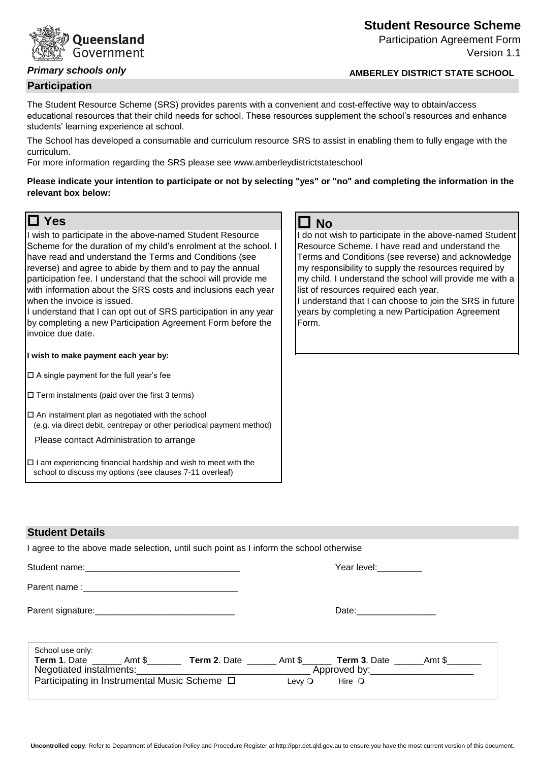# **Oueensland** Government

# *Primary schools only*

### **Participation**

The Student Resource Scheme (SRS) provides parents with a convenient and cost-effective way to obtain/access educational resources that their child needs for school. These resources supplement the school's resources and enhance students' learning experience at school.

The School has developed a consumable and curriculum resource SRS to assist in enabling them to fully engage with the curriculum.

For more information regarding the SRS please see www.amberleydistrictstateschool

**Please indicate your intention to participate or not by selecting "yes" or "no" and completing the information in the relevant box below:**

# **O** Yes **O** Yes

I wish to participate in the above-named Student Resource Scheme for the duration of my child's enrolment at the school. I have read and understand the Terms and Conditions (see reverse) and agree to abide by them and to pay the annual participation fee. I understand that the school will provide me with information about the SRS costs and inclusions each year when the invoice is issued.

I understand that I can opt out of SRS participation in any year by completing a new Participation Agreement Form before the invoice due date.

**I wish to make payment each year by:**

 $\square$  A single payment for the full year's fee

 $\square$  Term instalments (paid over the first 3 terms)

 $\square$  An instalment plan as negotiated with the school (e.g. via direct debit, centrepay or other periodical payment method)

Please contact Administration to arrange

 $\Box$  I am experiencing financial hardship and wish to meet with the school to discuss my options (see clauses 7-11 overleaf)

I do not wish to participate in the above-named Student Resource Scheme. I have read and understand the Terms and Conditions (see reverse) and acknowledge my responsibility to supply the resources required by my child. I understand the school will provide me with a list of resources required each year.

I understand that I can choose to join the SRS in future years by completing a new Participation Agreement Form.

# **Student Details**

I agree to the above made selection, until such point as I inform the school otherwise

|                                                                                                                      |  |                 | Year level: Vear level         |  |
|----------------------------------------------------------------------------------------------------------------------|--|-----------------|--------------------------------|--|
|                                                                                                                      |  |                 |                                |  |
|                                                                                                                      |  |                 |                                |  |
| School use only:                                                                                                     |  |                 |                                |  |
| Term 1. Date ________ Amt \$___________ Term 2. Date ________ Amt \$______________ Term 3. Date _______ Amt \$______ |  |                 |                                |  |
|                                                                                                                      |  |                 |                                |  |
| Participating in Instrumental Music Scheme □                                                                         |  | Levy $\bigcirc$ | $\blacksquare$ Hire $\bigcirc$ |  |

### **Uncontrolled copy**. Refer to Department of Education Policy and Procedure Register at http://ppr.det.qld.gov.au to ensure you have the most current version of this document.

**Student Resource Scheme**

**AMBERLEY DISTRICT STATE SCHOOL** 

Participation Agreement Form

Version 1.1